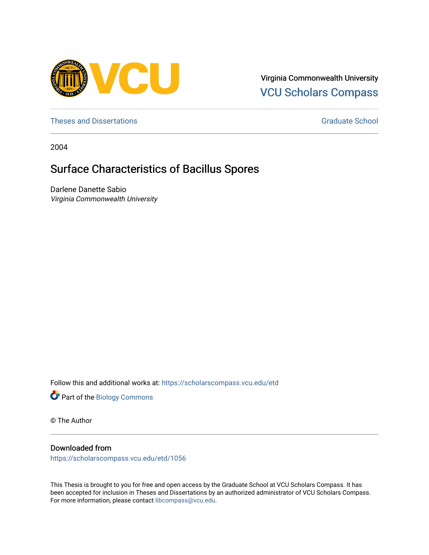

Virginia Commonwealth University [VCU Scholars Compass](https://scholarscompass.vcu.edu/) 

[Theses and Dissertations](https://scholarscompass.vcu.edu/etd) [Graduate School](https://scholarscompass.vcu.edu/gradschool) and Dissertations Graduate School and Dissertations Graduate School and Dissertations Graduate School and Dissertations Graduate School and Dissertations Graduate School and Dissert

2004

# Surface Characteristics of Bacillus Spores

Darlene Danette Sabio Virginia Commonwealth University

Follow this and additional works at: [https://scholarscompass.vcu.edu/etd](https://scholarscompass.vcu.edu/etd?utm_source=scholarscompass.vcu.edu%2Fetd%2F1056&utm_medium=PDF&utm_campaign=PDFCoverPages) 

Part of the [Biology Commons](http://network.bepress.com/hgg/discipline/41?utm_source=scholarscompass.vcu.edu%2Fetd%2F1056&utm_medium=PDF&utm_campaign=PDFCoverPages) 

© The Author

## Downloaded from

[https://scholarscompass.vcu.edu/etd/1056](https://scholarscompass.vcu.edu/etd/1056?utm_source=scholarscompass.vcu.edu%2Fetd%2F1056&utm_medium=PDF&utm_campaign=PDFCoverPages) 

This Thesis is brought to you for free and open access by the Graduate School at VCU Scholars Compass. It has been accepted for inclusion in Theses and Dissertations by an authorized administrator of VCU Scholars Compass. For more information, please contact [libcompass@vcu.edu](mailto:libcompass@vcu.edu).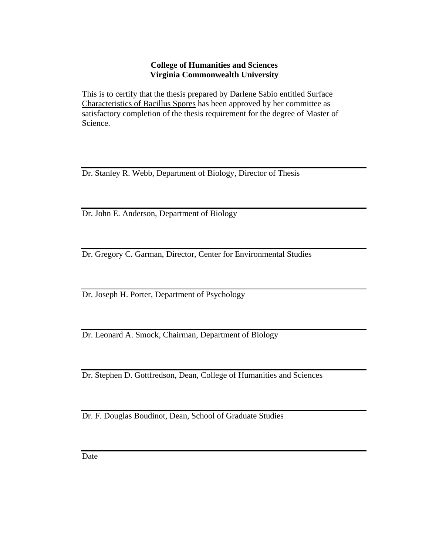## **College of Humanities and Sciences Virginia Commonwealth University**

This is to certify that the thesis prepared by Darlene Sabio entitled Surface Characteristics of Bacillus Spores has been approved by her committee as satisfactory completion of the thesis requirement for the degree of Master of Science.

Dr. Stanley R. Webb, Department of Biology, Director of Thesis

Dr. John E. Anderson, Department of Biology

Dr. Gregory C. Garman, Director, Center for Environmental Studies

Dr. Joseph H. Porter, Department of Psychology

Dr. Leonard A. Smock, Chairman, Department of Biology

Dr. Stephen D. Gottfredson, Dean, College of Humanities and Sciences

Dr. F. Douglas Boudinot, Dean, School of Graduate Studies

**Date**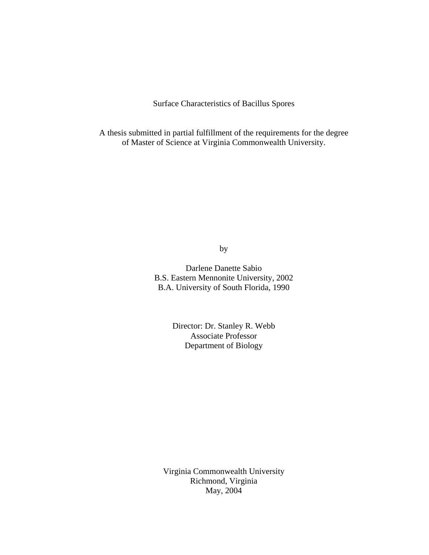Surface Characteristics of Bacillus Spores

A thesis submitted in partial fulfillment of the requirements for the degree of Master of Science at Virginia Commonwealth University.

by

Darlene Danette Sabio B.S. Eastern Mennonite University, 2002 B.A. University of South Florida, 1990

> Director: Dr. Stanley R. Webb Associate Professor Department of Biology

Virginia Commonwealth University Richmond, Virginia May, 2004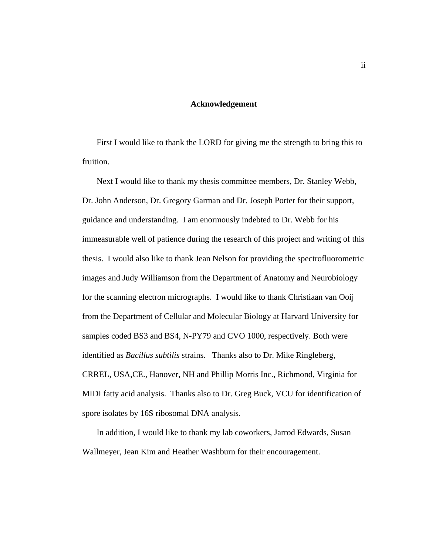### **Acknowledgement**

First I would like to thank the LORD for giving me the strength to bring this to fruition.

 Next I would like to thank my thesis committee members, Dr. Stanley Webb, Dr. John Anderson, Dr. Gregory Garman and Dr. Joseph Porter for their support, guidance and understanding. I am enormously indebted to Dr. Webb for his immeasurable well of patience during the research of this project and writing of this thesis. I would also like to thank Jean Nelson for providing the spectrofluorometric images and Judy Williamson from the Department of Anatomy and Neurobiology for the scanning electron micrographs. I would like to thank Christiaan van Ooij from the Department of Cellular and Molecular Biology at Harvard University for samples coded BS3 and BS4, N-PY79 and CVO 1000, respectively. Both were identified as *Bacillus subtilis* strains. Thanks also to Dr. Mike Ringleberg, CRREL, USA,CE., Hanover, NH and Phillip Morris Inc., Richmond, Virginia for MIDI fatty acid analysis. Thanks also to Dr. Greg Buck, VCU for identification of spore isolates by 16S ribosomal DNA analysis.

 In addition, I would like to thank my lab coworkers, Jarrod Edwards, Susan Wallmeyer, Jean Kim and Heather Washburn for their encouragement.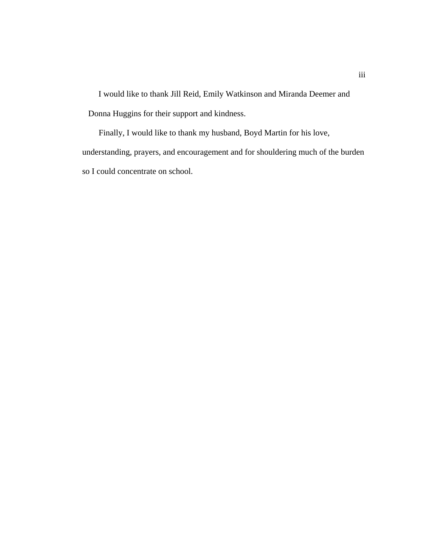I would like to thank Jill Reid, Emily Watkinson and Miranda Deemer and Donna Huggins for their support and kindness.

 Finally, I would like to thank my husband, Boyd Martin for his love, understanding, prayers, and encouragement and for shouldering much of the burden so I could concentrate on school.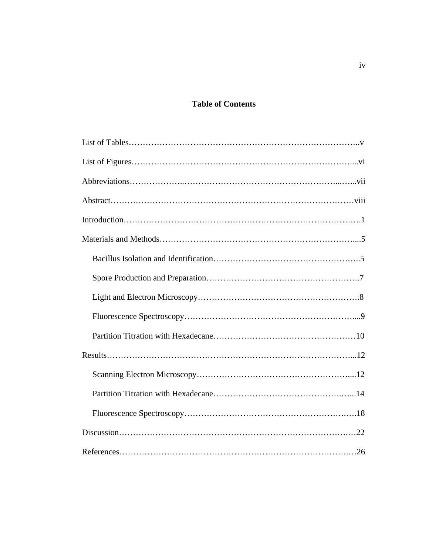## **Table of Contents**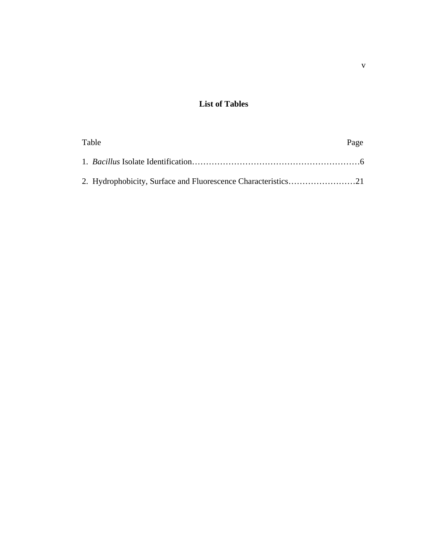## **List of Tables**

| Table | Page |
|-------|------|
|       |      |
|       |      |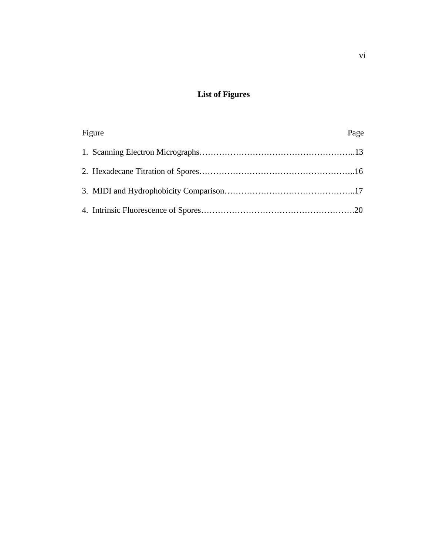## **List of Figures**

| Figure | Page |
|--------|------|
|        |      |
|        |      |
|        |      |
|        |      |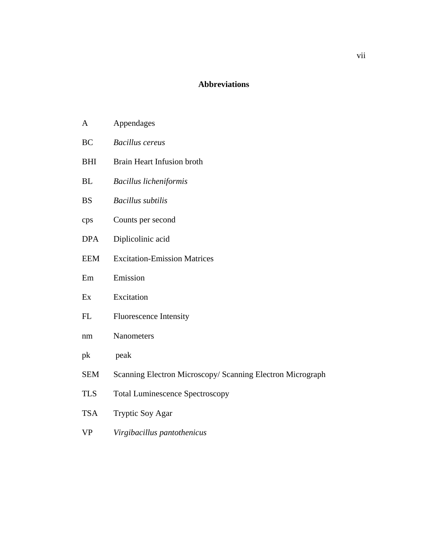## **Abbreviations**

| A | Appendages |
|---|------------|
|---|------------|

- BC *Bacillus cereus*
- BHI Brain Heart Infusion broth
- BL *Bacillus licheniformis*
- BS *Bacillus subtilis*
- cps Counts per second
- DPA Diplicolinic acid
- EEM Excitation-Emission Matrices
- Em Emission
- Ex Excitation
- FL Fluorescence Intensity
- nm Nanometers
- pk peak
- SEM Scanning Electron Microscopy/ Scanning Electron Micrograph
- TLS Total Luminescence Spectroscopy
- TSA Tryptic Soy Agar
- VP *Virgibacillus pantothenicus*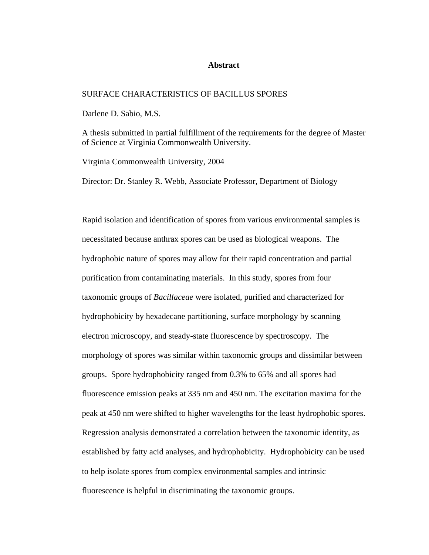#### **Abstract**

#### SURFACE CHARACTERISTICS OF BACILLUS SPORES

Darlene D. Sabio, M.S.

A thesis submitted in partial fulfillment of the requirements for the degree of Master of Science at Virginia Commonwealth University.

Virginia Commonwealth University, 2004

Director: Dr. Stanley R. Webb, Associate Professor, Department of Biology

Rapid isolation and identification of spores from various environmental samples is necessitated because anthrax spores can be used as biological weapons. The hydrophobic nature of spores may allow for their rapid concentration and partial purification from contaminating materials. In this study, spores from four taxonomic groups of *Bacillaceae* were isolated, purified and characterized for hydrophobicity by hexadecane partitioning, surface morphology by scanning electron microscopy, and steady-state fluorescence by spectroscopy. The morphology of spores was similar within taxonomic groups and dissimilar between groups. Spore hydrophobicity ranged from 0.3% to 65% and all spores had fluorescence emission peaks at 335 nm and 450 nm. The excitation maxima for the peak at 450 nm were shifted to higher wavelengths for the least hydrophobic spores. Regression analysis demonstrated a correlation between the taxonomic identity, as established by fatty acid analyses, and hydrophobicity. Hydrophobicity can be used to help isolate spores from complex environmental samples and intrinsic fluorescence is helpful in discriminating the taxonomic groups.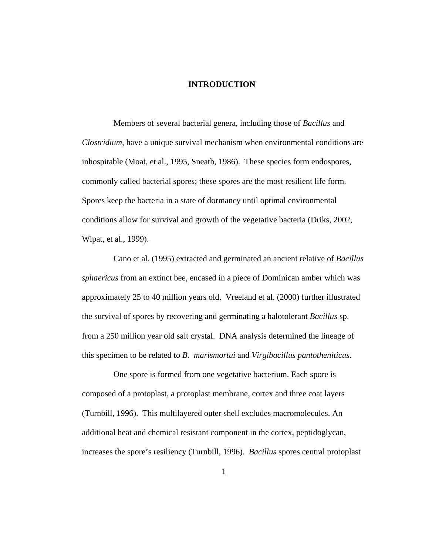### **INTRODUCTION**

Members of several bacterial genera, including those of *Bacillus* and *Clostridium,* have a unique survival mechanism when environmental conditions are inhospitable (Moat, et al., 1995, Sneath, 1986). These species form endospores, commonly called bacterial spores; these spores are the most resilient life form. Spores keep the bacteria in a state of dormancy until optimal environmental conditions allow for survival and growth of the vegetative bacteria (Driks, 2002, Wipat, et al., 1999).

 Cano et al. (1995) extracted and germinated an ancient relative of *Bacillus sphaericus* from an extinct bee, encased in a piece of Dominican amber which was approximately 25 to 40 million years old. Vreeland et al. (2000) further illustrated the survival of spores by recovering and germinating a halotolerant *Bacillus* sp. from a 250 million year old salt crystal. DNA analysis determined the lineage of this specimen to be related to *B. marismortui* and *Virgibacillus pantotheniticus*.

 One spore is formed from one vegetative bacterium. Each spore is composed of a protoplast, a protoplast membrane, cortex and three coat layers (Turnbill, 1996). This multilayered outer shell excludes macromolecules. An additional heat and chemical resistant component in the cortex, peptidoglycan, increases the spore's resiliency (Turnbill, 1996). *Bacillus* spores central protoplast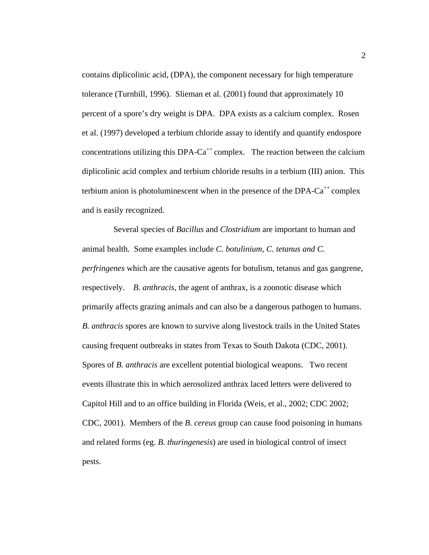contains diplicolinic acid, (DPA), the component necessary for high temperature tolerance (Turnbill, 1996). Slieman et al. (2001) found that approximately 10 percent of a spore's dry weight is DPA. DPA exists as a calcium complex. Rosen et al. (1997) developed a terbium chloride assay to identify and quantify endospore concentrations utilizing this DPA- $Ca^{++}$  complex. The reaction between the calcium diplicolinic acid complex and terbium chloride results in a terbium (III) anion. This terbium anion is photoluminescent when in the presence of the DPA- $Ca^{++}$  complex and is easily recognized.

 Several species of *Bacillus* and *Clostridium* are important to human and animal health*.* Some examples include *C. botulinium, C. tetanus and C. perfringenes* which are the causative agents for botulism, tetanus and gas gangrene, respectively. *B. anthracis*, the agent of anthrax, is a zoonotic disease which primarily affects grazing animals and can also be a dangerous pathogen to humans. *B. anthracis* spores are known to survive along livestock trails in the United States causing frequent outbreaks in states from Texas to South Dakota (CDC, 2001). Spores of *B. anthracis* are excellent potential biological weapons. Two recent events illustrate this in which aerosolized anthrax laced letters were delivered to Capitol Hill and to an office building in Florida (Weis, et al., 2002; CDC 2002; CDC, 2001). Members of the *B. cereus* group can cause food poisoning in humans and related forms (eg. *B. thuringenesis*) are used in biological control of insect pests.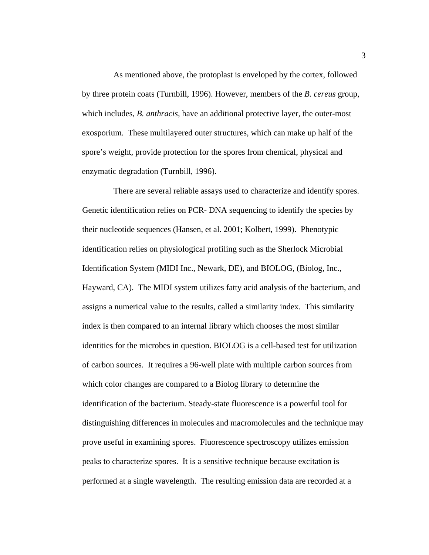As mentioned above, the protoplast is enveloped by the cortex, followed by three protein coats (Turnbill, 1996). However, members of the *B. cereus* group, which includes, *B. anthracis,* have an additional protective layer, the outer-most exosporium. These multilayered outer structures, which can make up half of the spore's weight, provide protection for the spores from chemical, physical and enzymatic degradation (Turnbill, 1996).

There are several reliable assays used to characterize and identify spores. Genetic identification relies on PCR- DNA sequencing to identify the species by their nucleotide sequences (Hansen, et al. 2001; Kolbert, 1999). Phenotypic identification relies on physiological profiling such as the Sherlock Microbial Identification System (MIDI Inc., Newark, DE), and BIOLOG, (Biolog, Inc., Hayward, CA). The MIDI system utilizes fatty acid analysis of the bacterium, and assigns a numerical value to the results, called a similarity index. This similarity index is then compared to an internal library which chooses the most similar identities for the microbes in question. BIOLOG is a cell-based test for utilization of carbon sources. It requires a 96-well plate with multiple carbon sources from which color changes are compared to a Biolog library to determine the identification of the bacterium. Steady-state fluorescence is a powerful tool for distinguishing differences in molecules and macromolecules and the technique may prove useful in examining spores. Fluorescence spectroscopy utilizes emission peaks to characterize spores. It is a sensitive technique because excitation is performed at a single wavelength. The resulting emission data are recorded at a

3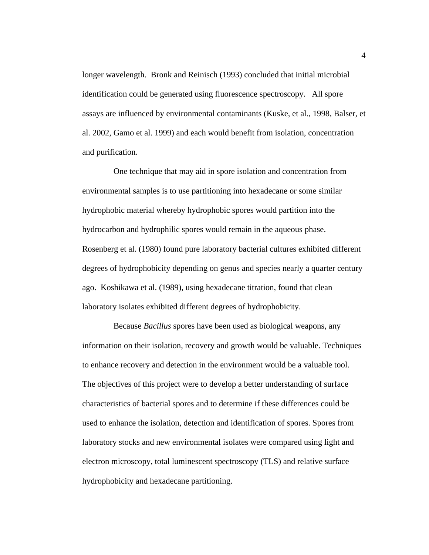longer wavelength. Bronk and Reinisch (1993) concluded that initial microbial identification could be generated using fluorescence spectroscopy. All spore assays are influenced by environmental contaminants (Kuske, et al., 1998, Balser, et al. 2002, Gamo et al. 1999) and each would benefit from isolation, concentration and purification.

One technique that may aid in spore isolation and concentration from environmental samples is to use partitioning into hexadecane or some similar hydrophobic material whereby hydrophobic spores would partition into the hydrocarbon and hydrophilic spores would remain in the aqueous phase. Rosenberg et al. (1980) found pure laboratory bacterial cultures exhibited different degrees of hydrophobicity depending on genus and species nearly a quarter century ago. Koshikawa et al. (1989), using hexadecane titration, found that clean laboratory isolates exhibited different degrees of hydrophobicity.

 Because *Bacillus* spores have been used as biological weapons, any information on their isolation, recovery and growth would be valuable. Techniques to enhance recovery and detection in the environment would be a valuable tool. The objectives of this project were to develop a better understanding of surface characteristics of bacterial spores and to determine if these differences could be used to enhance the isolation, detection and identification of spores. Spores from laboratory stocks and new environmental isolates were compared using light and electron microscopy, total luminescent spectroscopy (TLS) and relative surface hydrophobicity and hexadecane partitioning.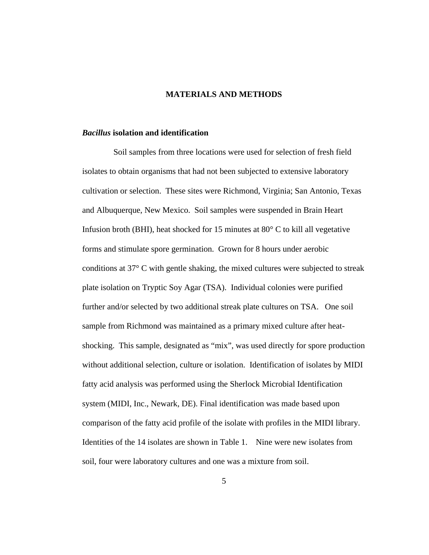### **MATERIALS AND METHODS**

#### *Bacillus* **isolation and identification**

 Soil samples from three locations were used for selection of fresh field isolates to obtain organisms that had not been subjected to extensive laboratory cultivation or selection. These sites were Richmond, Virginia; San Antonio, Texas and Albuquerque, New Mexico. Soil samples were suspended in Brain Heart Infusion broth (BHI), heat shocked for 15 minutes at 80° C to kill all vegetative forms and stimulate spore germination. Grown for 8 hours under aerobic conditions at 37° C with gentle shaking, the mixed cultures were subjected to streak plate isolation on Tryptic Soy Agar (TSA). Individual colonies were purified further and/or selected by two additional streak plate cultures on TSA. One soil sample from Richmond was maintained as a primary mixed culture after heatshocking. This sample, designated as "mix", was used directly for spore production without additional selection, culture or isolation. Identification of isolates by MIDI fatty acid analysis was performed using the Sherlock Microbial Identification system (MIDI, Inc., Newark, DE). Final identification was made based upon comparison of the fatty acid profile of the isolate with profiles in the MIDI library. Identities of the 14 isolates are shown in Table 1. Nine were new isolates from soil, four were laboratory cultures and one was a mixture from soil.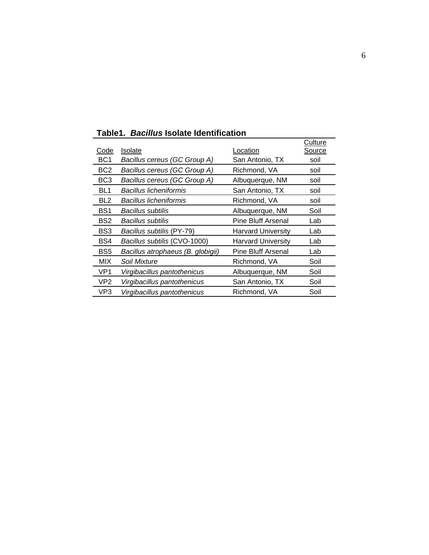|                 |                                   |                           | Culture |
|-----------------|-----------------------------------|---------------------------|---------|
| Code            | <b>Isolate</b>                    | Location                  | Source  |
| BC <sub>1</sub> | Bacillus cereus (GC Group A)      | San Antonio, TX           | soil    |
| BC <sub>2</sub> | Bacillus cereus (GC Group A)      | Richmond, VA              | soil    |
| BC <sub>3</sub> | Bacillus cereus (GC Group A)      | Albuquerque, NM           | soil    |
| BL <sub>1</sub> | Bacillus licheniformis            | San Antonio, TX           | soil    |
| BL <sub>2</sub> | Bacillus licheniformis            | Richmond, VA              | soil    |
| BS <sub>1</sub> | Bacillus subtilis                 | Albuquerque, NM           | Soil    |
| BS <sub>2</sub> | Bacillus subtilis                 | Pine Bluff Arsenal        | Lab     |
| BS3             | Bacillus subtilis (PY-79)         | <b>Harvard University</b> | Lab     |
| BS4             | Bacillus subtilis (CVO-1000)      | <b>Harvard University</b> | Lab     |
| BS <sub>5</sub> | Bacillus atrophaeus (B. globigii) | <b>Pine Bluff Arsenal</b> | Lab     |
| MIX             | Soil Mixture                      | Richmond, VA              | Soil    |
| VP <sub>1</sub> | Virgibacillus pantothenicus       | Albuquerque, NM           | Soil    |
| VP <sub>2</sub> | Virgibacillus pantothenicus       | San Antonio, TX           | Soil    |
| VP3             | Virgibacillus pantothenicus       | Richmond, VA              | Soil    |

**Table1.** *Bacillus* **Isolate Identification**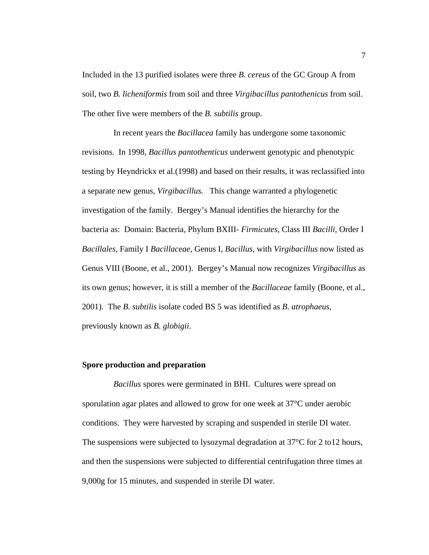Included in the 13 purified isolates were three *B. cereus* of the GC Group A from soil, two *B. licheniformis* from soil and three *Virgibacillus pantothenicus* from soil. The other five were members of the *B. subtilis* group.

 In recent years the *Bacillacea* family has undergone some taxonomic revisions. In 1998, *Bacillus pantothenticus* underwent genotypic and phenotypic testing by Heyndrickx et al.(1998) and based on their results, it was reclassified into a separate new genus, *Virgibacillus.* This change warranted a phylogenetic investigation of the family. Bergey's Manual identifies the hierarchy for the bacteria as: Domain: Bacteria, Phylum BXIII- *Firmicutes*, Class III *Bacilli*, Order I *Bacillales*, Family I *Bacillaceae*, Genus I, *Bacillus*, with *Virgibacillus* now listed as Genus VIII (Boone, et al., 2001). Bergey's Manual now recognizes *Virgibacillus* as its own genus; however, it is still a member of the *Bacillaceae* family (Boone, et al., 2001). The *B. subtilis* isolate coded BS 5 was identified as *B*. *atrophaeus*, previously known as *B. globigii*.

#### **Spore production and preparation**

 *Bacillus* spores were germinated in BHI. Cultures were spread on sporulation agar plates and allowed to grow for one week at 37°C under aerobic conditions. They were harvested by scraping and suspended in sterile DI water. The suspensions were subjected to lysozymal degradation at 37°C for 2 to12 hours, and then the suspensions were subjected to differential centrifugation three times at 9,000g for 15 minutes, and suspended in sterile DI water.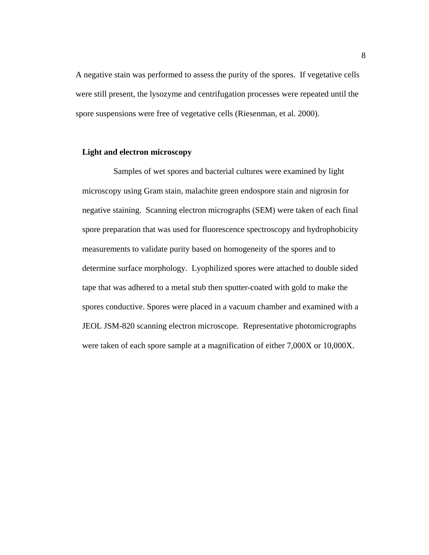A negative stain was performed to assess the purity of the spores. If vegetative cells were still present, the lysozyme and centrifugation processes were repeated until the spore suspensions were free of vegetative cells (Riesenman, et al. 2000).

#### **Light and electron microscopy**

 Samples of wet spores and bacterial cultures were examined by light microscopy using Gram stain, malachite green endospore stain and nigrosin for negative staining. Scanning electron micrographs (SEM) were taken of each final spore preparation that was used for fluorescence spectroscopy and hydrophobicity measurements to validate purity based on homogeneity of the spores and to determine surface morphology. Lyophilized spores were attached to double sided tape that was adhered to a metal stub then sputter-coated with gold to make the spores conductive. Spores were placed in a vacuum chamber and examined with a JEOL JSM-820 scanning electron microscope. Representative photomicrographs were taken of each spore sample at a magnification of either 7,000X or 10,000X.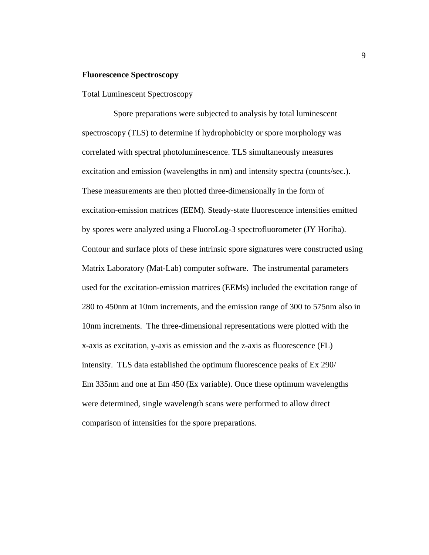#### **Fluorescence Spectroscopy**

#### Total Luminescent Spectroscopy

Spore preparations were subjected to analysis by total luminescent spectroscopy (TLS) to determine if hydrophobicity or spore morphology was correlated with spectral photoluminescence. TLS simultaneously measures excitation and emission (wavelengths in nm) and intensity spectra (counts/sec.). These measurements are then plotted three-dimensionally in the form of excitation-emission matrices (EEM). Steady-state fluorescence intensities emitted by spores were analyzed using a FluoroLog-3 spectrofluorometer (JY Horiba). Contour and surface plots of these intrinsic spore signatures were constructed using Matrix Laboratory (Mat-Lab) computer software. The instrumental parameters used for the excitation-emission matrices (EEMs) included the excitation range of 280 to 450nm at 10nm increments, and the emission range of 300 to 575nm also in 10nm increments. The three-dimensional representations were plotted with the x-axis as excitation, y-axis as emission and the z-axis as fluorescence (FL) intensity. TLS data established the optimum fluorescence peaks of Ex 290/ Em 335nm and one at Em 450 (Ex variable). Once these optimum wavelengths were determined, single wavelength scans were performed to allow direct comparison of intensities for the spore preparations.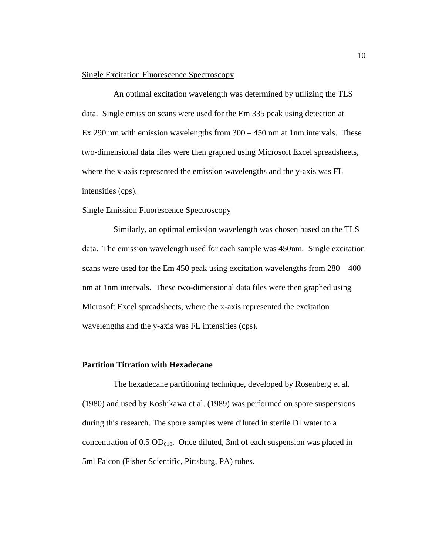#### Single Excitation Fluorescence Spectroscopy

 An optimal excitation wavelength was determined by utilizing the TLS data. Single emission scans were used for the Em 335 peak using detection at Ex 290 nm with emission wavelengths from 300 – 450 nm at 1nm intervals. These two-dimensional data files were then graphed using Microsoft Excel spreadsheets, where the x-axis represented the emission wavelengths and the y-axis was FL intensities (cps).

#### Single Emission Fluorescence Spectroscopy

 Similarly, an optimal emission wavelength was chosen based on the TLS data. The emission wavelength used for each sample was 450nm. Single excitation scans were used for the Em 450 peak using excitation wavelengths from  $280 - 400$ nm at 1nm intervals. These two-dimensional data files were then graphed using Microsoft Excel spreadsheets, where the x-axis represented the excitation wavelengths and the y-axis was FL intensities (cps).

#### **Partition Titration with Hexadecane**

The hexadecane partitioning technique, developed by Rosenberg et al. (1980) and used by Koshikawa et al. (1989) was performed on spore suspensions during this research. The spore samples were diluted in sterile DI water to a concentration of  $0.5 \text{ OD}_{610}$ . Once diluted, 3ml of each suspension was placed in 5ml Falcon (Fisher Scientific, Pittsburg, PA) tubes.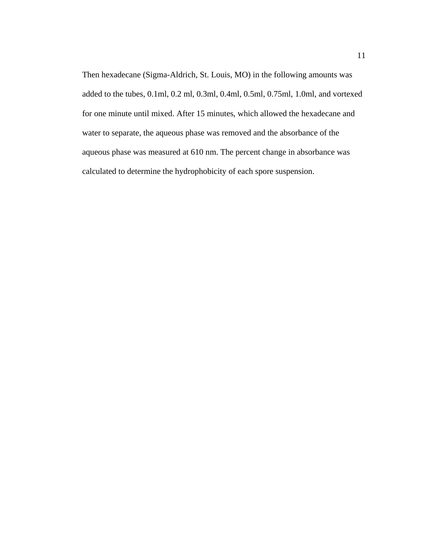Then hexadecane (Sigma-Aldrich, St. Louis, MO) in the following amounts was added to the tubes, 0.1ml, 0.2 ml, 0.3ml, 0.4ml, 0.5ml, 0.75ml, 1.0ml, and vortexed for one minute until mixed. After 15 minutes, which allowed the hexadecane and water to separate, the aqueous phase was removed and the absorbance of the aqueous phase was measured at 610 nm. The percent change in absorbance was calculated to determine the hydrophobicity of each spore suspension.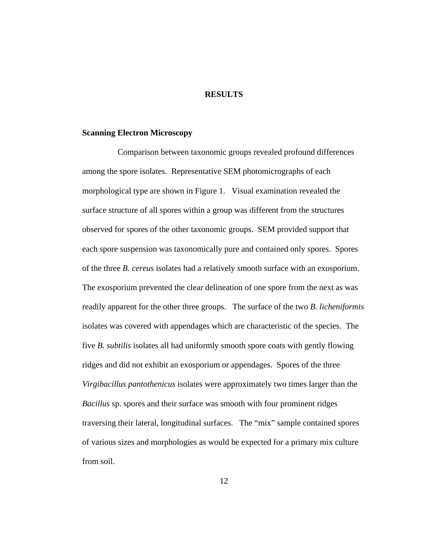### **RESULTS**

#### **Scanning Electron Microscopy**

Comparison between taxonomic groups revealed profound differences among the spore isolates. Representative SEM photomicrographs of each morphological type are shown in Figure 1. Visual examination revealed the surface structure of all spores within a group was different from the structures observed for spores of the other taxonomic groups. SEM provided support that each spore suspension was taxonomically pure and contained only spores. Spores of the three *B. cereus* isolates had a relatively smooth surface with an exosporium. The exosporium prevented the clear delineation of one spore from the next as was readily apparent for the other three groups. The surface of the two *B. licheniformis* isolates was covered with appendages which are characteristic of the species. The five *B. subtilis* isolates all had uniformly smooth spore coats with gently flowing ridges and did not exhibit an exosporium or appendages. Spores of the three *Virgibacillus pantothenicus* isolates were approximately two times larger than the *Bacillus* sp. spores and their surface was smooth with four prominent ridges traversing their lateral, longitudinal surfaces. The "mix" sample contained spores of various sizes and morphologies as would be expected for a primary mix culture from soil.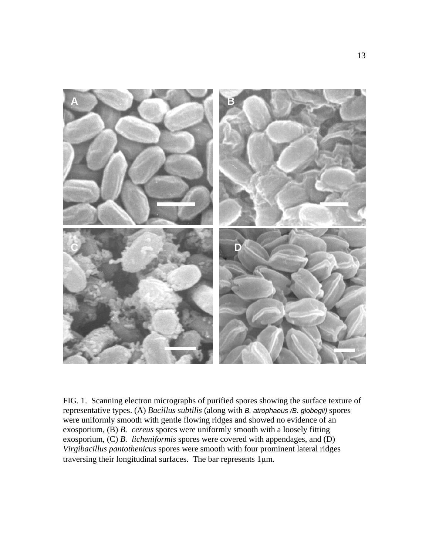

FIG. 1. Scanning electron micrographs of purified spores showing the surface texture of representative types. (A) *Bacillus subtilis* (along with *B. atrophaeus /B. globegii)* spores were uniformly smooth with gentle flowing ridges and showed no evidence of an exosporium, (B) *B. cereus* spores were uniformly smooth with a loosely fitting exosporium, (C) *B. licheniformis* spores were covered with appendages, and (D) *Virgibacillus pantothenicus* spores were smooth with four prominent lateral ridges traversing their longitudinal surfaces. The bar represents 1µm.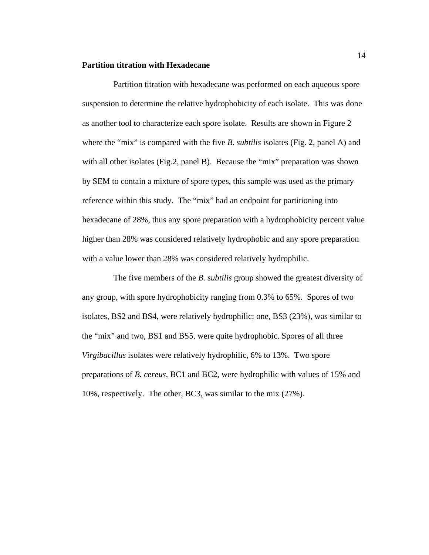#### **Partition titration with Hexadecane**

Partition titration with hexadecane was performed on each aqueous spore suspension to determine the relative hydrophobicity of each isolate. This was done as another tool to characterize each spore isolate. Results are shown in Figure 2 where the "mix" is compared with the five *B. subtilis* isolates (Fig. 2, panel A) and with all other isolates (Fig.2, panel B). Because the "mix" preparation was shown by SEM to contain a mixture of spore types, this sample was used as the primary reference within this study. The "mix" had an endpoint for partitioning into hexadecane of 28%, thus any spore preparation with a hydrophobicity percent value higher than 28% was considered relatively hydrophobic and any spore preparation with a value lower than 28% was considered relatively hydrophilic.

The five members of the *B. subtilis* group showed the greatest diversity of any group, with spore hydrophobicity ranging from 0.3% to 65%. Spores of two isolates, BS2 and BS4, were relatively hydrophilic; one, BS3 (23%), was similar to the "mix" and two, BS1 and BS5, were quite hydrophobic. Spores of all three *Virgibacillus* isolates were relatively hydrophilic, 6% to 13%. Two spore preparations of *B. cereus*, BC1 and BC2, were hydrophilic with values of 15% and 10%, respectively. The other, BC3, was similar to the mix (27%).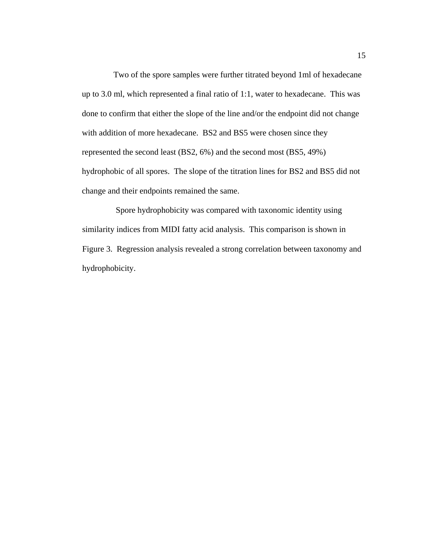Two of the spore samples were further titrated beyond 1ml of hexadecane up to 3.0 ml, which represented a final ratio of 1:1, water to hexadecane. This was done to confirm that either the slope of the line and/or the endpoint did not change with addition of more hexadecane. BS2 and BS5 were chosen since they represented the second least (BS2, 6%) and the second most (BS5, 49%) hydrophobic of all spores. The slope of the titration lines for BS2 and BS5 did not change and their endpoints remained the same.

 Spore hydrophobicity was compared with taxonomic identity using similarity indices from MIDI fatty acid analysis. This comparison is shown in Figure 3. Regression analysis revealed a strong correlation between taxonomy and hydrophobicity.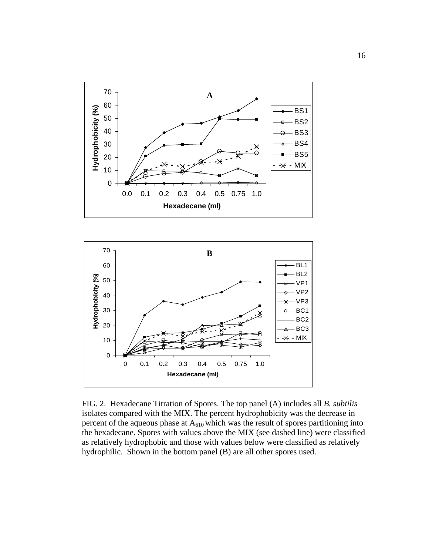



FIG. 2. Hexadecane Titration of Spores. The top panel (A) includes all *B. subtilis* isolates compared with the MIX. The percent hydrophobicity was the decrease in percent of the aqueous phase at  $A_{610}$  which was the result of spores partitioning into the hexadecane. Spores with values above the MIX (see dashed line) were classified as relatively hydrophobic and those with values below were classified as relatively hydrophilic. Shown in the bottom panel (B) are all other spores used.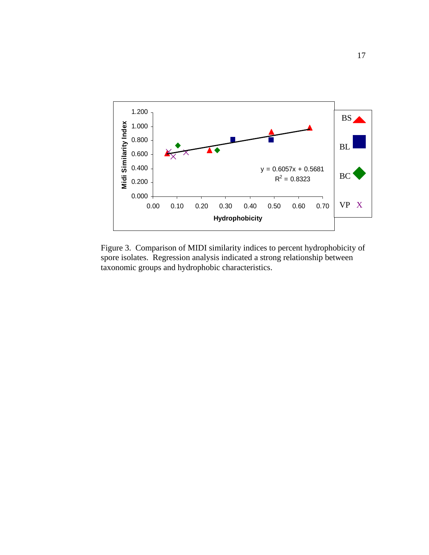

Figure 3. Comparison of MIDI similarity indices to percent hydrophobicity of spore isolates. Regression analysis indicated a strong relationship between taxonomic groups and hydrophobic characteristics.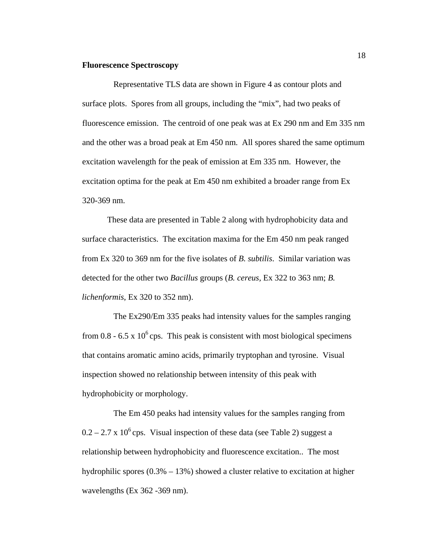#### **Fluorescence Spectroscopy**

 Representative TLS data are shown in Figure 4 as contour plots and surface plots. Spores from all groups, including the "mix", had two peaks of fluorescence emission. The centroid of one peak was at Ex 290 nm and Em 335 nm and the other was a broad peak at Em 450 nm. All spores shared the same optimum excitation wavelength for the peak of emission at Em 335 nm. However, the excitation optima for the peak at Em 450 nm exhibited a broader range from Ex 320-369 nm.

These data are presented in Table 2 along with hydrophobicity data and surface characteristics. The excitation maxima for the Em 450 nm peak ranged from Ex 320 to 369 nm for the five isolates of *B. subtilis*. Similar variation was detected for the other two *Bacillus* groups (*B. cereus,* Ex 322 to 363 nm; *B. lichenformis*, Ex 320 to 352 nm).

 The Ex290/Em 335 peaks had intensity values for the samples ranging from 0.8 - 6.5 x  $10^6$  cps. This peak is consistent with most biological specimens that contains aromatic amino acids, primarily tryptophan and tyrosine. Visual inspection showed no relationship between intensity of this peak with hydrophobicity or morphology.

The Em 450 peaks had intensity values for the samples ranging from  $0.2 - 2.7 \times 10^6$  cps. Visual inspection of these data (see Table 2) suggest a relationship between hydrophobicity and fluorescence excitation.. The most hydrophilic spores  $(0.3\% - 13\%)$  showed a cluster relative to excitation at higher wavelengths (Ex 362 - 369 nm).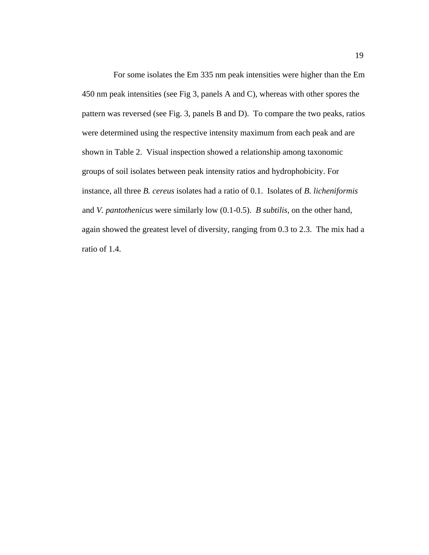For some isolates the Em 335 nm peak intensities were higher than the Em 450 nm peak intensities (see Fig 3, panels A and C), whereas with other spores the pattern was reversed (see Fig. 3, panels B and D). To compare the two peaks, ratios were determined using the respective intensity maximum from each peak and are shown in Table 2. Visual inspection showed a relationship among taxonomic groups of soil isolates between peak intensity ratios and hydrophobicity. For instance, all three *B. cereus* isolates had a ratio of 0.1. Isolates of *B. licheniformis* and *V. pantothenicus* were similarly low (0.1-0.5). *B subtilis*, on the other hand, again showed the greatest level of diversity, ranging from 0.3 to 2.3. The mix had a ratio of 1.4.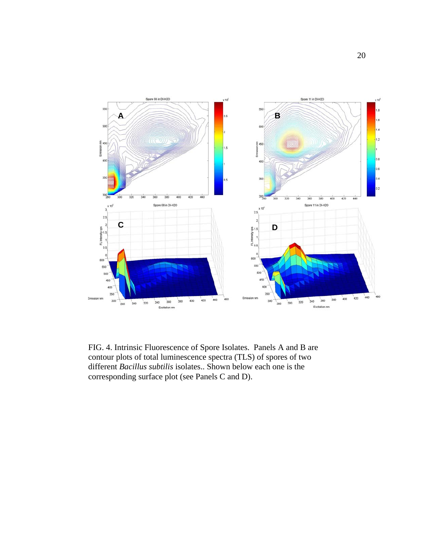

FIG. 4. Intrinsic Fluorescence of Spore Isolates. Panels A and B are contour plots of total luminescence spectra (TLS) of spores of two different *Bacillus subtilis* isolates.. Shown below each one is the corresponding surface plot (see Panels C and D).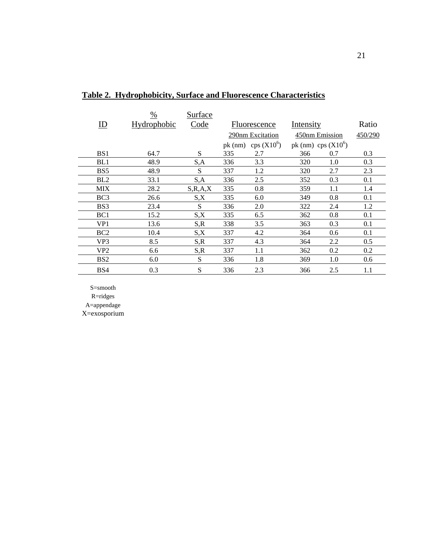|                         | $\%$        | Surface    |     |                       |                       |     |         |
|-------------------------|-------------|------------|-----|-----------------------|-----------------------|-----|---------|
| $\underline{\text{ID}}$ | Hydrophobic | Code       |     | Fluorescence          | Intensity             |     | Ratio   |
|                         |             |            |     | 290nm Excitation      | 450nm Emission        |     | 450/290 |
|                         |             |            |     | pk (nm) cps $(X10^6)$ | pk (nm) cps $(X10^6)$ |     |         |
| B <sub>S1</sub>         | 64.7        | S          | 335 | 2.7                   | 366                   | 0.7 | 0.3     |
| BL1                     | 48.9        | S,A        | 336 | 3.3                   | 320                   | 1.0 | 0.3     |
| BS5                     | 48.9        | S          | 337 | 1.2                   | 320                   | 2.7 | 2.3     |
| BL2                     | 33.1        | S,A        | 336 | 2.5                   | 352                   | 0.3 | 0.1     |
| <b>MIX</b>              | 28.2        | S, R, A, X | 335 | 0.8                   | 359                   | 1.1 | 1.4     |
| BC <sub>3</sub>         | 26.6        | S,X        | 335 | 6.0                   | 349                   | 0.8 | 0.1     |
| BS3                     | 23.4        | S          | 336 | 2.0                   | 322                   | 2.4 | 1.2     |
| BC1                     | 15.2        | S,X        | 335 | 6.5                   | 362                   | 0.8 | 0.1     |
| VP1                     | 13.6        | S, R       | 338 | 3.5                   | 363                   | 0.3 | 0.1     |
| BC <sub>2</sub>         | 10.4        | S,X        | 337 | 4.2                   | 364                   | 0.6 | 0.1     |
| VP <sub>3</sub>         | 8.5         | S, R       | 337 | 4.3                   | 364                   | 2.2 | 0.5     |
| VP <sub>2</sub>         | 6.6         | S, R       | 337 | 1.1                   | 362                   | 0.2 | 0.2     |
| BS <sub>2</sub>         | 6.0         | S          | 336 | 1.8                   | 369                   | 1.0 | 0.6     |
| BS4                     | 0.3         | S          | 336 | 2.3                   | 366                   | 2.5 | 1.1     |

## **Table 2. Hydrophobicity, Surface and Fluorescence Characteristics**

 $S\!\!=\!\!smooth$ R=ridges

A=appendage

X=exosporium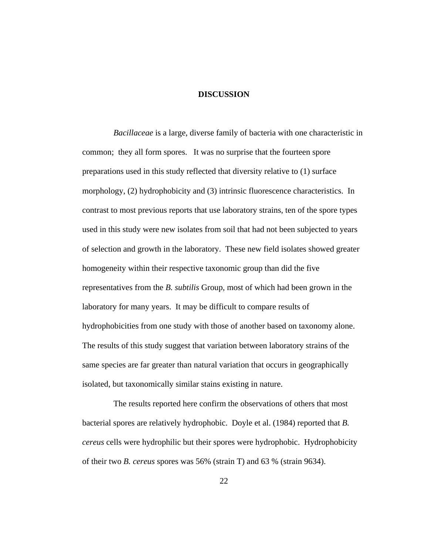#### **DISCUSSION**

*Bacillaceae* is a large, diverse family of bacteria with one characteristic in common; they all form spores. It was no surprise that the fourteen spore preparations used in this study reflected that diversity relative to (1) surface morphology, (2) hydrophobicity and (3) intrinsic fluorescence characteristics. In contrast to most previous reports that use laboratory strains, ten of the spore types used in this study were new isolates from soil that had not been subjected to years of selection and growth in the laboratory. These new field isolates showed greater homogeneity within their respective taxonomic group than did the five representatives from the *B. subtilis* Group, most of which had been grown in the laboratory for many years. It may be difficult to compare results of hydrophobicities from one study with those of another based on taxonomy alone. The results of this study suggest that variation between laboratory strains of the same species are far greater than natural variation that occurs in geographically isolated, but taxonomically similar stains existing in nature.

 The results reported here confirm the observations of others that most bacterial spores are relatively hydrophobic. Doyle et al. (1984) reported that *B. cereus* cells were hydrophilic but their spores were hydrophobic. Hydrophobicity of their two *B. cereus* spores was 56% (strain T) and 63 % (strain 9634).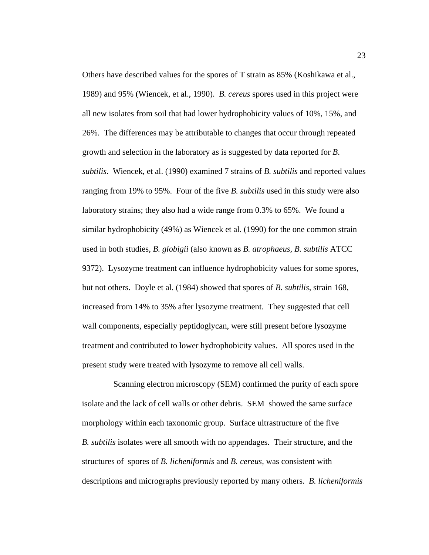Others have described values for the spores of T strain as 85% (Koshikawa et al., 1989) and 95% (Wiencek, et al., 1990). *B. cereus* spores used in this project were all new isolates from soil that had lower hydrophobicity values of 10%, 15%, and 26%. The differences may be attributable to changes that occur through repeated growth and selection in the laboratory as is suggested by data reported for *B*. *subtilis*. Wiencek, et al. (1990) examined 7 strains of *B. subtilis* and reported values ranging from 19% to 95%. Four of the five *B. subtilis* used in this study were also laboratory strains; they also had a wide range from 0.3% to 65%. We found a similar hydrophobicity (49%) as Wiencek et al. (1990) for the one common strain used in both studies, *B. globigii* (also known as *B. atrophaeus, B. subtilis* ATCC 9372). Lysozyme treatment can influence hydrophobicity values for some spores, but not others. Doyle et al. (1984) showed that spores of *B. subtilis*, strain 168, increased from 14% to 35% after lysozyme treatment. They suggested that cell wall components, especially peptidoglycan, were still present before lysozyme treatment and contributed to lower hydrophobicity values. All spores used in the present study were treated with lysozyme to remove all cell walls.

Scanning electron microscopy (SEM) confirmed the purity of each spore isolate and the lack of cell walls or other debris. SEM showed the same surface morphology within each taxonomic group. Surface ultrastructure of the five *B. subtilis* isolates were all smooth with no appendages. Their structure, and the structures of spores of *B. licheniformis* and *B. cereus,* was consistent with descriptions and micrographs previously reported by many others. *B. licheniformis*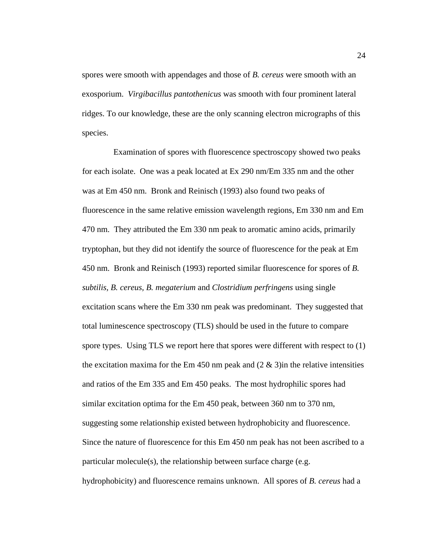spores were smooth with appendages and those of *B. cereus* were smooth with an exosporium. *Virgibacillus pantothenicus* was smooth with four prominent lateral ridges. To our knowledge, these are the only scanning electron micrographs of this species.

 Examination of spores with fluorescence spectroscopy showed two peaks for each isolate. One was a peak located at Ex 290 nm/Em 335 nm and the other was at Em 450 nm. Bronk and Reinisch (1993) also found two peaks of fluorescence in the same relative emission wavelength regions, Em 330 nm and Em 470 nm. They attributed the Em 330 nm peak to aromatic amino acids, primarily tryptophan, but they did not identify the source of fluorescence for the peak at Em 450 nm. Bronk and Reinisch (1993) reported similar fluorescence for spores of *B. subtilis, B. cereus, B. megaterium* and *Clostridium perfringens* using single excitation scans where the Em 330 nm peak was predominant. They suggested that total luminescence spectroscopy (TLS) should be used in the future to compare spore types. Using TLS we report here that spores were different with respect to (1) the excitation maxima for the Em 450 nm peak and  $(2 \& 3)$  in the relative intensities and ratios of the Em 335 and Em 450 peaks. The most hydrophilic spores had similar excitation optima for the Em 450 peak, between 360 nm to 370 nm, suggesting some relationship existed between hydrophobicity and fluorescence. Since the nature of fluorescence for this Em 450 nm peak has not been ascribed to a particular molecule(s), the relationship between surface charge (e.g. hydrophobicity) and fluorescence remains unknown. All spores of *B. cereus* had a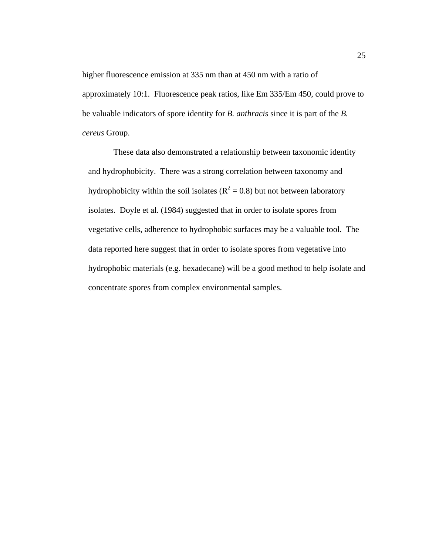higher fluorescence emission at 335 nm than at 450 nm with a ratio of approximately 10:1. Fluorescence peak ratios, like Em 335/Em 450, could prove to be valuable indicators of spore identity for *B. anthracis* since it is part of the *B. cereus* Group.

These data also demonstrated a relationship between taxonomic identity and hydrophobicity. There was a strong correlation between taxonomy and hydrophobicity within the soil isolates ( $R^2 = 0.8$ ) but not between laboratory isolates. Doyle et al. (1984) suggested that in order to isolate spores from vegetative cells, adherence to hydrophobic surfaces may be a valuable tool. The data reported here suggest that in order to isolate spores from vegetative into hydrophobic materials (e.g. hexadecane) will be a good method to help isolate and concentrate spores from complex environmental samples.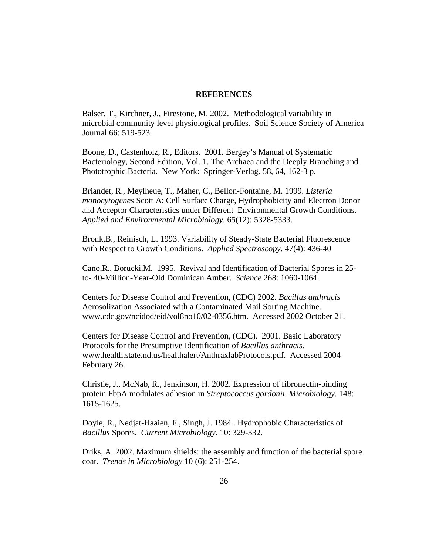#### **REFERENCES**

Balser, T., Kirchner, J., Firestone, M. 2002. Methodological variability in microbial community level physiological profiles. Soil Science Society of America Journal 66: 519-523.

Boone, D., Castenholz, R., Editors. 2001. Bergey's Manual of Systematic Bacteriology, Second Edition, Vol. 1. The Archaea and the Deeply Branching and Phototrophic Bacteria. New York: Springer-Verlag. 58, 64, 162-3 p.

Briandet, R., Meylheue, T., Maher, C., Bellon-Fontaine, M. 1999. *Listeria monocytogenes* Scott A: Cell Surface Charge, Hydrophobicity and Electron Donor and Acceptor Characteristics under Different Environmental Growth Conditions. *Applied and Environmental Microbiology.* 65(12): 5328-5333.

Bronk,B., Reinisch, L. 1993. Variability of Steady-State Bacterial Fluorescence with Respect to Growth Conditions. *Applied Spectroscopy*. 47(4): 436-40

Cano,R., Borucki,M. 1995. Revival and Identification of Bacterial Spores in 25 to- 40-Million-Year-Old Dominican Amber. *Science* 268: 1060-1064.

Centers for Disease Control and Prevention, (CDC) 2002. *Bacillus anthracis* Aerosolization Associated with a Contaminated Mail Sorting Machine. www.cdc.gov/ncidod/eid/vol8no10/02-0356.htm. Accessed 2002 October 21.

Centers for Disease Control and Prevention, (CDC). 2001. Basic Laboratory Protocols for the Presumptive Identification of *Bacillus anthracis.*  www.health.state.nd.us/healthalert/AnthraxlabProtocols.pdf. Accessed 2004 February 26.

Christie, J., McNab, R., Jenkinson, H. 2002. Expression of fibronectin-binding protein FbpA modulates adhesion in *Streptococcus gordonii*. *Microbiology*. 148: 1615-1625.

Doyle, R., Nedjat-Haaien, F., Singh, J. 1984 . Hydrophobic Characteristics of *Bacillus* Spores. *Current Microbiology.* 10: 329-332.

Driks, A. 2002. Maximum shields: the assembly and function of the bacterial spore coat. *Trends in Microbiology* 10 (6): 251-254.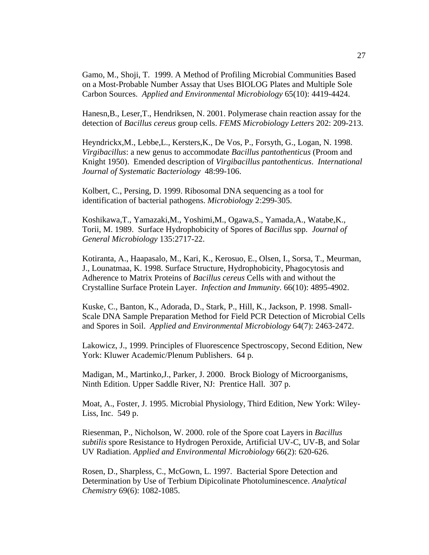Gamo, M., Shoji, T. 1999. A Method of Profiling Microbial Communities Based on a Most-Probable Number Assay that Uses BIOLOG Plates and Multiple Sole Carbon Sources. *Applied and Environmental Microbiology* 65(10): 4419-4424.

Hanesn,B., Leser,T., Hendriksen, N. 2001. Polymerase chain reaction assay for the detection of *Bacillus cereus* group cells. *FEMS Microbiology Letters* 202: 209-213.

Heyndrickx,M., Lebbe,L., Kersters,K., De Vos, P., Forsyth, G., Logan, N. 1998. *Virgibacillus*: a new genus to accommodate *Bacillus pantothenticus* (Proom and Knight 1950). Emended description of *Virgibacillus pantothenticus*. *International Journal of Systematic Bacteriology* 48:99-106.

Kolbert, C., Persing, D. 1999. Ribosomal DNA sequencing as a tool for identification of bacterial pathogens. *Microbiology* 2:299-305.

Koshikawa,T., Yamazaki,M., Yoshimi,M., Ogawa,S., Yamada,A., Watabe,K., Torii, M. 1989. Surface Hydrophobicity of Spores of *Bacillus* spp. *Journal of General Microbiology* 135:2717-22.

Kotiranta, A., Haapasalo, M., Kari, K., Kerosuo, E., Olsen, I., Sorsa, T., Meurman, J., Lounatmaa, K. 1998. Surface Structure, Hydrophobicity, Phagocytosis and Adherence to Matrix Proteins of *Bacillus cereus* Cells with and without the Crystalline Surface Protein Layer. *Infection and Immunity.* 66(10): 4895-4902.

Kuske, C., Banton, K., Adorada, D., Stark, P., Hill, K., Jackson, P. 1998. Small-Scale DNA Sample Preparation Method for Field PCR Detection of Microbial Cells and Spores in Soil. *Applied and Environmental Microbiology* 64(7): 2463-2472.

Lakowicz, J., 1999. Principles of Fluorescence Spectroscopy, Second Edition, New York: Kluwer Academic/Plenum Publishers. 64 p.

Madigan, M., Martinko,J., Parker, J. 2000. Brock Biology of Microorganisms, Ninth Edition. Upper Saddle River, NJ: Prentice Hall. 307 p.

Moat, A., Foster, J. 1995. Microbial Physiology, Third Edition, New York: Wiley-Liss, Inc. 549 p.

Riesenman, P., Nicholson, W. 2000. role of the Spore coat Layers in *Bacillus subtilis* spore Resistance to Hydrogen Peroxide, Artificial UV-C, UV-B, and Solar UV Radiation. *Applied and Environmental Microbiology* 66(2): 620-626.

Rosen, D., Sharpless, C., McGown, L. 1997. Bacterial Spore Detection and Determination by Use of Terbium Dipicolinate Photoluminescence. *Analytical Chemistry* 69(6): 1082-1085.